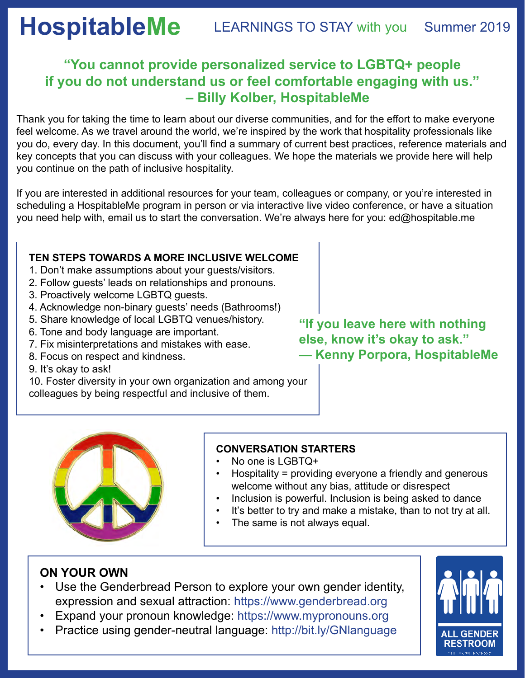# **HospitableMe** LEARNINGS TO STAY with you Summer 2019

## **"You cannot provide personalized service to LGBTQ+ people if you do not understand us or feel comfortable engaging with us." – Billy Kolber, HospitableMe**

Thank you for taking the time to learn about our diverse communities, and for the effort to make everyone feel welcome. As we travel around the world, we're inspired by the work that hospitality professionals like you do, every day. In this document, you'll find a summary of current best practices, reference materials and key concepts that you can discuss with your colleagues. We hope the materials we provide here will help you continue on the path of inclusive hospitality.

If you are interested in additional resources for your team, colleagues or company, or you're interested in scheduling a HospitableMe program in person or via interactive live video conference, or have a situation you need help with, email us to start the conversation. We're always here for you: ed@hospitable.me

#### **TEN STEPS TOWARDS A MORE INCLUSIVE WELCOME**

- 1. Don't make assumptions about your guests/visitors.
- 2. Follow guests' leads on relationships and pronouns.
- 3. Proactively welcome LGBTQ guests.
- 4. Acknowledge non-binary guests' needs (Bathrooms!)
- 5. Share knowledge of local LGBTQ venues/history.
- 6. Tone and body language are important.
- 7. Fix misinterpretations and mistakes with ease.
- 8. Focus on respect and kindness.
- 9. It's okay to ask!

10. Foster diversity in your own organization and among your colleagues by being respectful and inclusive of them.

**"If you leave here with nothing else, know it's okay to ask." — Kenny Porpora, HospitableMe**



### **CONVERSATION STARTERS**

- No one is LGBTQ+
- Hospitality = providing everyone a friendly and generous welcome without any bias, attitude or disrespect
- Inclusion is powerful. Inclusion is being asked to dance
- It's better to try and make a mistake, than to not try at all.
- The same is not always equal.

## **ON YOUR OWN**

- Use the Genderbread Person to explore your own gender identity, expression and sexual attraction: https://www.genderbread.org
- Expand your pronoun knowledge: https://www.mypronouns.org
- Practice using gender-neutral language: http://bit.ly/GNlanguage